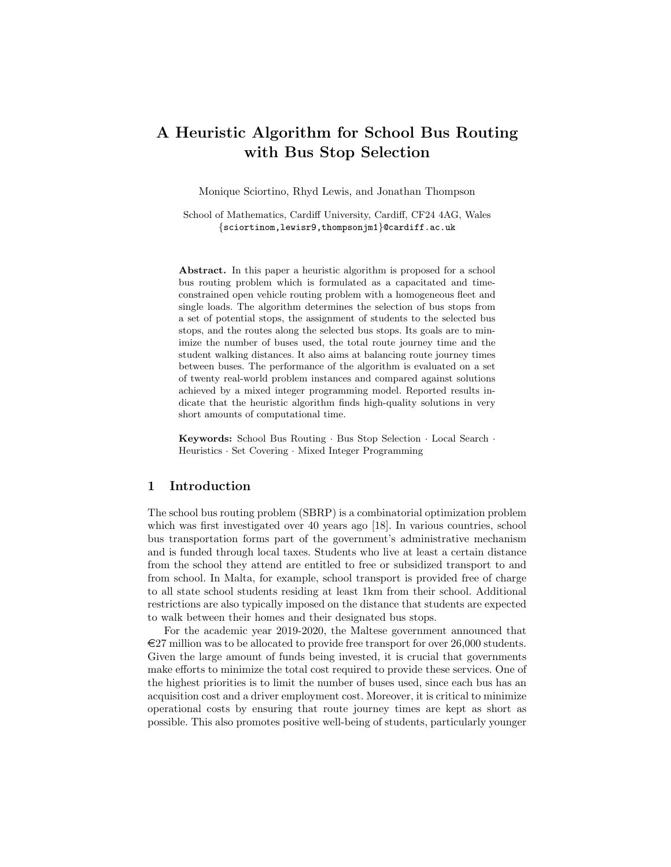# A Heuristic Algorithm for School Bus Routing with Bus Stop Selection

Monique Sciortino, Rhyd Lewis, and Jonathan Thompson

School of Mathematics, Cardiff University, Cardiff, CF24 4AG, Wales {sciortinom,lewisr9,thompsonjm1}@cardiff.ac.uk

Abstract. In this paper a heuristic algorithm is proposed for a school bus routing problem which is formulated as a capacitated and timeconstrained open vehicle routing problem with a homogeneous fleet and single loads. The algorithm determines the selection of bus stops from a set of potential stops, the assignment of students to the selected bus stops, and the routes along the selected bus stops. Its goals are to minimize the number of buses used, the total route journey time and the student walking distances. It also aims at balancing route journey times between buses. The performance of the algorithm is evaluated on a set of twenty real-world problem instances and compared against solutions achieved by a mixed integer programming model. Reported results indicate that the heuristic algorithm finds high-quality solutions in very short amounts of computational time.

Keywords: School Bus Routing · Bus Stop Selection · Local Search · Heuristics · Set Covering · Mixed Integer Programming

## 1 Introduction

The school bus routing problem (SBRP) is a combinatorial optimization problem which was first investigated over 40 years ago [18]. In various countries, school bus transportation forms part of the government's administrative mechanism and is funded through local taxes. Students who live at least a certain distance from the school they attend are entitled to free or subsidized transport to and from school. In Malta, for example, school transport is provided free of charge to all state school students residing at least 1km from their school. Additional restrictions are also typically imposed on the distance that students are expected to walk between their homes and their designated bus stops.

For the academic year 2019-2020, the Maltese government announced that  $E27$  million was to be allocated to provide free transport for over 26,000 students. Given the large amount of funds being invested, it is crucial that governments make efforts to minimize the total cost required to provide these services. One of the highest priorities is to limit the number of buses used, since each bus has an acquisition cost and a driver employment cost. Moreover, it is critical to minimize operational costs by ensuring that route journey times are kept as short as possible. This also promotes positive well-being of students, particularly younger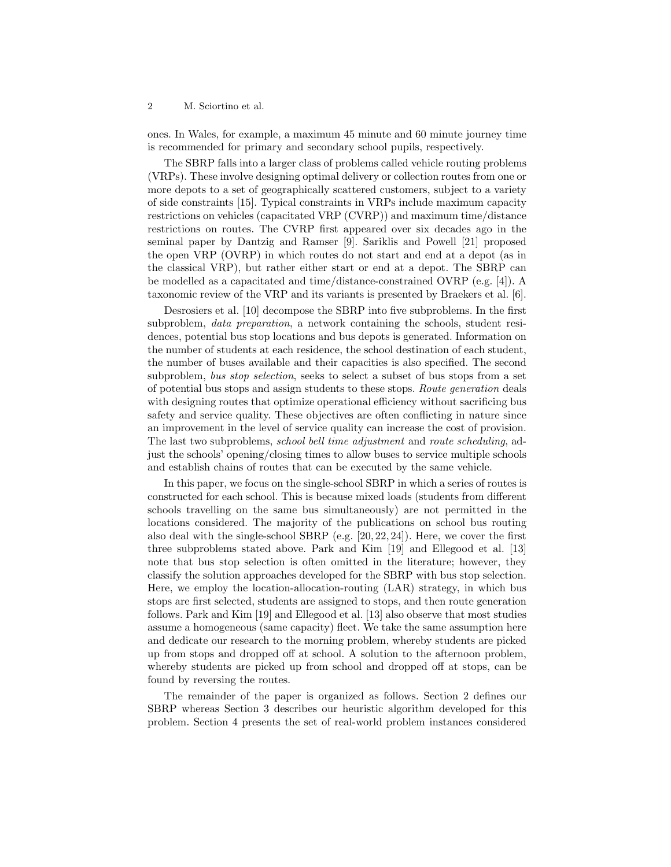ones. In Wales, for example, a maximum 45 minute and 60 minute journey time is recommended for primary and secondary school pupils, respectively.

The SBRP falls into a larger class of problems called vehicle routing problems (VRPs). These involve designing optimal delivery or collection routes from one or more depots to a set of geographically scattered customers, subject to a variety of side constraints [15]. Typical constraints in VRPs include maximum capacity restrictions on vehicles (capacitated VRP (CVRP)) and maximum time/distance restrictions on routes. The CVRP first appeared over six decades ago in the seminal paper by Dantzig and Ramser [9]. Sariklis and Powell [21] proposed the open VRP (OVRP) in which routes do not start and end at a depot (as in the classical VRP), but rather either start or end at a depot. The SBRP can be modelled as a capacitated and time/distance-constrained OVRP (e.g. [4]). A taxonomic review of the VRP and its variants is presented by Braekers et al. [6].

Desrosiers et al. [10] decompose the SBRP into five subproblems. In the first subproblem, *data preparation*, a network containing the schools, student residences, potential bus stop locations and bus depots is generated. Information on the number of students at each residence, the school destination of each student, the number of buses available and their capacities is also specified. The second subproblem, bus stop selection, seeks to select a subset of bus stops from a set of potential bus stops and assign students to these stops. Route generation deals with designing routes that optimize operational efficiency without sacrificing bus safety and service quality. These objectives are often conflicting in nature since an improvement in the level of service quality can increase the cost of provision. The last two subproblems, school bell time adjustment and route scheduling, adjust the schools' opening/closing times to allow buses to service multiple schools and establish chains of routes that can be executed by the same vehicle.

In this paper, we focus on the single-school SBRP in which a series of routes is constructed for each school. This is because mixed loads (students from different schools travelling on the same bus simultaneously) are not permitted in the locations considered. The majority of the publications on school bus routing also deal with the single-school SBRP (e.g. [20, 22, 24]). Here, we cover the first three subproblems stated above. Park and Kim [19] and Ellegood et al. [13] note that bus stop selection is often omitted in the literature; however, they classify the solution approaches developed for the SBRP with bus stop selection. Here, we employ the location-allocation-routing (LAR) strategy, in which bus stops are first selected, students are assigned to stops, and then route generation follows. Park and Kim [19] and Ellegood et al. [13] also observe that most studies assume a homogeneous (same capacity) fleet. We take the same assumption here and dedicate our research to the morning problem, whereby students are picked up from stops and dropped off at school. A solution to the afternoon problem, whereby students are picked up from school and dropped off at stops, can be found by reversing the routes.

The remainder of the paper is organized as follows. Section 2 defines our SBRP whereas Section 3 describes our heuristic algorithm developed for this problem. Section 4 presents the set of real-world problem instances considered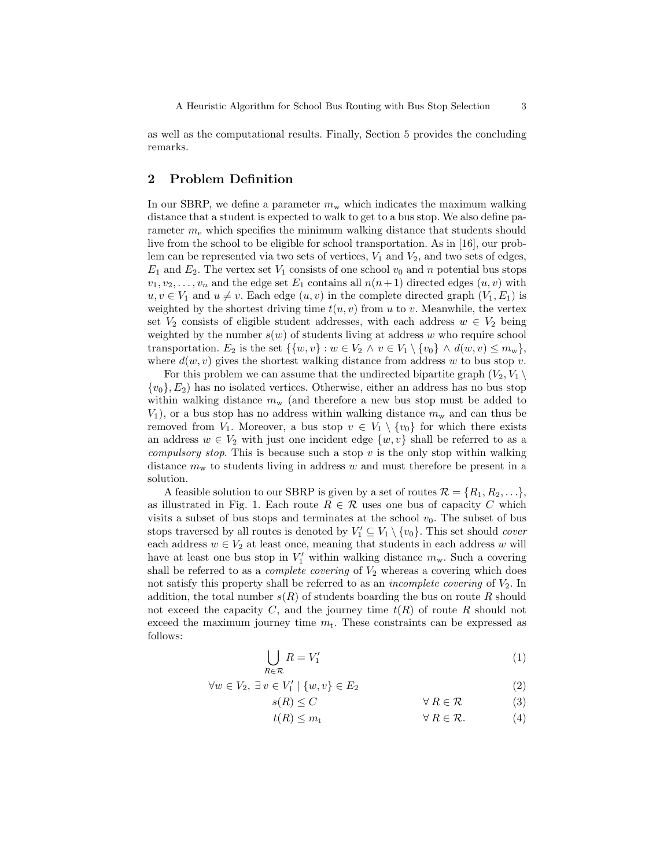as well as the computational results. Finally, Section 5 provides the concluding remarks.

# 2 Problem Definition

In our SBRP, we define a parameter  $m<sub>w</sub>$  which indicates the maximum walking distance that a student is expected to walk to get to a bus stop. We also define parameter  $m_e$  which specifies the minimum walking distance that students should live from the school to be eligible for school transportation. As in [16], our problem can be represented via two sets of vertices,  $V_1$  and  $V_2$ , and two sets of edges,  $E_1$  and  $E_2$ . The vertex set  $V_1$  consists of one school  $v_0$  and n potential bus stops  $v_1, v_2, \ldots, v_n$  and the edge set  $E_1$  contains all  $n(n+1)$  directed edges  $(u, v)$  with  $u, v \in V_1$  and  $u \neq v$ . Each edge  $(u, v)$  in the complete directed graph  $(V_1, E_1)$  is weighted by the shortest driving time  $t(u, v)$  from u to v. Meanwhile, the vertex set  $V_2$  consists of eligible student addresses, with each address  $w \in V_2$  being weighted by the number  $s(w)$  of students living at address w who require school transportation. E<sub>2</sub> is the set  $\{\{w, v\} : w \in V_2 \land v \in V_1 \setminus \{v_0\} \land d(w, v) \leq m_w\},\$ where  $d(w, v)$  gives the shortest walking distance from address w to bus stop v.

For this problem we can assume that the undirected bipartite graph  $(V_2, V_1 \setminus$  ${v_0}, E_2$ ) has no isolated vertices. Otherwise, either an address has no bus stop within walking distance  $m_{\rm w}$  (and therefore a new bus stop must be added to  $V_1$ , or a bus stop has no address within walking distance  $m_w$  and can thus be removed from  $V_1$ . Moreover, a bus stop  $v \in V_1 \setminus \{v_0\}$  for which there exists an address  $w \in V_2$  with just one incident edge  $\{w, v\}$  shall be referred to as a *compulsory stop.* This is because such a stop  $v$  is the only stop within walking distance  $m<sub>w</sub>$  to students living in address w and must therefore be present in a solution.

A feasible solution to our SBRP is given by a set of routes  $\mathcal{R} = \{R_1, R_2, \ldots\}$ , as illustrated in Fig. 1. Each route  $R \in \mathcal{R}$  uses one bus of capacity C which visits a subset of bus stops and terminates at the school  $v_0$ . The subset of bus stops traversed by all routes is denoted by  $V'_1 \subseteq V_1 \setminus \{v_0\}$ . This set should *cover* each address  $w \in V_2$  at least once, meaning that students in each address w will have at least one bus stop in  $V'_1$  within walking distance  $m_w$ . Such a covering shall be referred to as a *complete covering* of  $V_2$  whereas a covering which does not satisfy this property shall be referred to as an *incomplete covering* of  $V_2$ . In addition, the total number  $s(R)$  of students boarding the bus on route R should not exceed the capacity C, and the journey time  $t(R)$  of route R should not exceed the maximum journey time  $m_t$ . These constraints can be expressed as follows:

$$
\bigcup_{R \in \mathcal{R}} R = V_1' \tag{1}
$$

$$
\forall w \in V_2, \ \exists v \in V_1' \mid \{w, v\} \in E_2 \tag{2}
$$

$$
s(R) \le C \qquad \qquad \forall R \in \mathcal{R} \tag{3}
$$

 $t(R) \leq m_t \qquad \qquad \forall R \in \mathcal{R}.$  (4)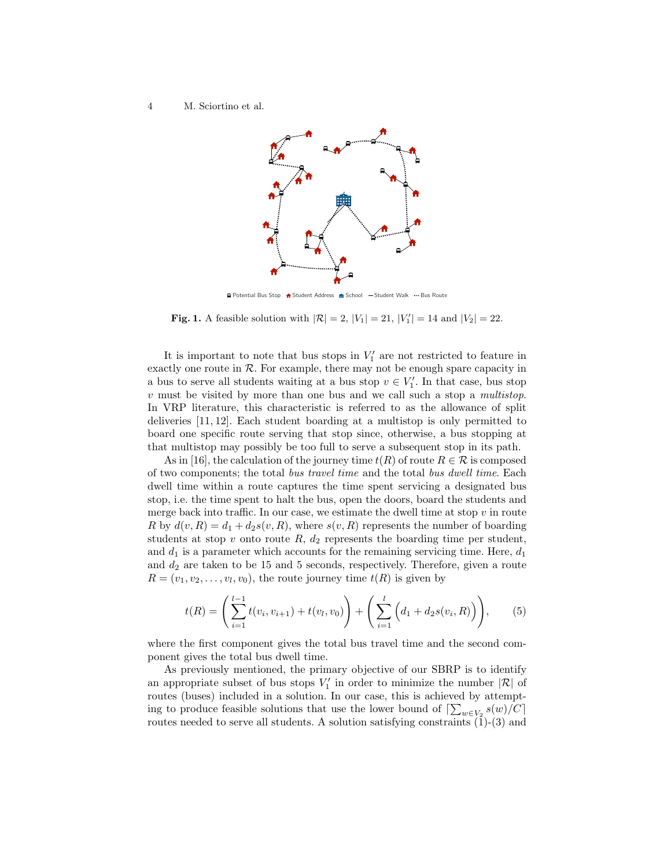

**Q** Potential Bus Stop ▲ Student Address ● School → Student Walk → Bus Route

**Fig. 1.** A feasible solution with  $|\mathcal{R}| = 2$ ,  $|V_1| = 21$ ,  $|V'_1| = 14$  and  $|V_2| = 22$ .

It is important to note that bus stops in  $V'_1$  are not restricted to feature in exactly one route in  $R$ . For example, there may not be enough spare capacity in a bus to serve all students waiting at a bus stop  $v \in V'_1$ . In that case, bus stop  $v$  must be visited by more than one bus and we call such a stop a *multistop*. In VRP literature, this characteristic is referred to as the allowance of split deliveries [11, 12]. Each student boarding at a multistop is only permitted to board one specific route serving that stop since, otherwise, a bus stopping at that multistop may possibly be too full to serve a subsequent stop in its path.

As in [16], the calculation of the journey time  $t(R)$  of route  $R \in \mathcal{R}$  is composed of two components; the total bus travel time and the total bus dwell time. Each dwell time within a route captures the time spent servicing a designated bus stop, i.e. the time spent to halt the bus, open the doors, board the students and merge back into traffic. In our case, we estimate the dwell time at stop  $v$  in route R by  $d(v, R) = d_1 + d_2s(v, R)$ , where  $s(v, R)$  represents the number of boarding students at stop  $v$  onto route  $R$ ,  $d_2$  represents the boarding time per student, and  $d_1$  is a parameter which accounts for the remaining servicing time. Here,  $d_1$ and  $d_2$  are taken to be 15 and 5 seconds, respectively. Therefore, given a route  $R = (v_1, v_2, \dots, v_l, v_0)$ , the route journey time  $t(R)$  is given by

$$
t(R) = \left(\sum_{i=1}^{l-1} t(v_i, v_{i+1}) + t(v_l, v_0)\right) + \left(\sum_{i=1}^{l} \left(d_1 + d_2 s(v_i, R)\right)\right),\tag{5}
$$

where the first component gives the total bus travel time and the second component gives the total bus dwell time.

As previously mentioned, the primary objective of our SBRP is to identify an appropriate subset of bus stops  $V'_1$  in order to minimize the number  $|\mathcal{R}|$  of routes (buses) included in a solution. In our case, this is achieved by attempting to produce feasible solutions that use the lower bound of  $\left[\sum_{w\in V_2}s(w)/C\right]$ routes needed to serve all students. A solution satisfying constraints  $(1)-(3)$  and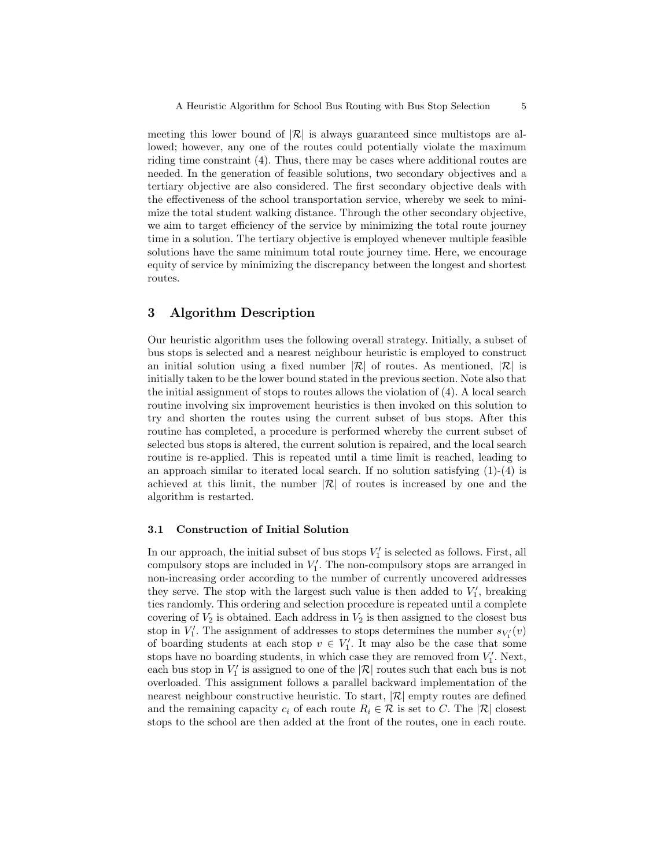meeting this lower bound of  $|\mathcal{R}|$  is always guaranteed since multistops are allowed; however, any one of the routes could potentially violate the maximum riding time constraint (4). Thus, there may be cases where additional routes are needed. In the generation of feasible solutions, two secondary objectives and a tertiary objective are also considered. The first secondary objective deals with the effectiveness of the school transportation service, whereby we seek to minimize the total student walking distance. Through the other secondary objective, we aim to target efficiency of the service by minimizing the total route journey time in a solution. The tertiary objective is employed whenever multiple feasible solutions have the same minimum total route journey time. Here, we encourage equity of service by minimizing the discrepancy between the longest and shortest routes.

# 3 Algorithm Description

Our heuristic algorithm uses the following overall strategy. Initially, a subset of bus stops is selected and a nearest neighbour heuristic is employed to construct an initial solution using a fixed number  $|\mathcal{R}|$  of routes. As mentioned,  $|\mathcal{R}|$  is initially taken to be the lower bound stated in the previous section. Note also that the initial assignment of stops to routes allows the violation of  $(4)$ . A local search routine involving six improvement heuristics is then invoked on this solution to try and shorten the routes using the current subset of bus stops. After this routine has completed, a procedure is performed whereby the current subset of selected bus stops is altered, the current solution is repaired, and the local search routine is re-applied. This is repeated until a time limit is reached, leading to an approach similar to iterated local search. If no solution satisfying  $(1)-(4)$  is achieved at this limit, the number  $|\mathcal{R}|$  of routes is increased by one and the algorithm is restarted.

#### 3.1 Construction of Initial Solution

In our approach, the initial subset of bus stops  $V'_1$  is selected as follows. First, all compulsory stops are included in  $V'_1$ . The non-compulsory stops are arranged in non-increasing order according to the number of currently uncovered addresses they serve. The stop with the largest such value is then added to  $V'_1$ , breaking ties randomly. This ordering and selection procedure is repeated until a complete covering of  $V_2$  is obtained. Each address in  $V_2$  is then assigned to the closest bus stop in  $V'_1$ . The assignment of addresses to stops determines the number  $s_{V'_1}(v)$ of boarding students at each stop  $v \in V'_1$ . It may also be the case that some stops have no boarding students, in which case they are removed from  $V'_1$ . Next, each bus stop in  $V_1'$  is assigned to one of the  $|\mathcal{R}|$  routes such that each bus is not overloaded. This assignment follows a parallel backward implementation of the nearest neighbour constructive heuristic. To start,  $|\mathcal{R}|$  empty routes are defined and the remaining capacity  $c_i$  of each route  $R_i \in \mathcal{R}$  is set to C. The  $|\mathcal{R}|$  closest stops to the school are then added at the front of the routes, one in each route.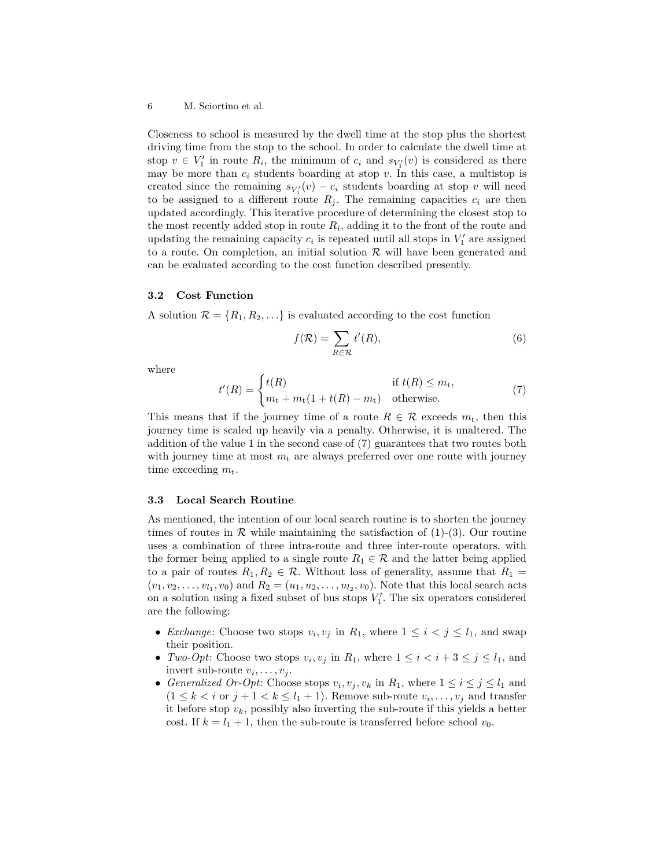Closeness to school is measured by the dwell time at the stop plus the shortest driving time from the stop to the school. In order to calculate the dwell time at stop  $v \in V'_1$  in route  $R_i$ , the minimum of  $c_i$  and  $s_{V'_1}(v)$  is considered as there may be more than  $c_i$  students boarding at stop v. In this case, a multistop is created since the remaining  $s_{V_1'}(v) - c_i$  students boarding at stop v will need to be assigned to a different route  $R_i$ . The remaining capacities  $c_i$  are then updated accordingly. This iterative procedure of determining the closest stop to the most recently added stop in route  $R_i$ , adding it to the front of the route and updating the remaining capacity  $c_i$  is repeated until all stops in  $V'_1$  are assigned to a route. On completion, an initial solution  $R$  will have been generated and can be evaluated according to the cost function described presently.

#### 3.2 Cost Function

A solution  $\mathcal{R} = \{R_1, R_2, \ldots\}$  is evaluated according to the cost function

$$
f(\mathcal{R}) = \sum_{R \in \mathcal{R}} t'(R),\tag{6}
$$

where

$$
t'(R) = \begin{cases} t(R) & \text{if } t(R) \le m_{\text{t}},\\ m_{\text{t}} + m_{\text{t}}(1 + t(R) - m_{\text{t}}) & \text{otherwise.} \end{cases}
$$
(7)

This means that if the journey time of a route  $R \in \mathcal{R}$  exceeds  $m_t$ , then this journey time is scaled up heavily via a penalty. Otherwise, it is unaltered. The addition of the value 1 in the second case of (7) guarantees that two routes both with journey time at most  $m_t$  are always preferred over one route with journey time exceeding  $m_t$ .

#### 3.3 Local Search Routine

As mentioned, the intention of our local search routine is to shorten the journey times of routes in  $\mathcal R$  while maintaining the satisfaction of (1)-(3). Our routine uses a combination of three intra-route and three inter-route operators, with the former being applied to a single route  $R_1 \in \mathcal{R}$  and the latter being applied to a pair of routes  $R_1, R_2 \in \mathcal{R}$ . Without loss of generality, assume that  $R_1 =$  $(v_1, v_2, \ldots, v_{l_1}, v_0)$  and  $R_2 = (u_1, u_2, \ldots, u_{l_2}, v_0)$ . Note that this local search acts on a solution using a fixed subset of bus stops  $V_1'$ . The six operators considered are the following:

- *Exchange*: Choose two stops  $v_i, v_j$  in  $R_1$ , where  $1 \leq i \leq j \leq l_1$ , and swap their position.
- Two-Opt: Choose two stops  $v_i, v_j$  in  $R_1$ , where  $1 \leq i < i+3 \leq j \leq l_1$ , and invert sub-route  $v_i, \ldots, v_j$ .
- Generalized Or-Opt: Choose stops  $v_i, v_j, v_k$  in  $R_1$ , where  $1 \le i \le j \le l_1$  and  $(1 \leq k < i \text{ or } j+1 < k \leq l_1+1)$ . Remove sub-route  $v_i, \ldots, v_j$  and transfer it before stop  $v_k$ , possibly also inverting the sub-route if this yields a better cost. If  $k = l_1 + 1$ , then the sub-route is transferred before school  $v_0$ .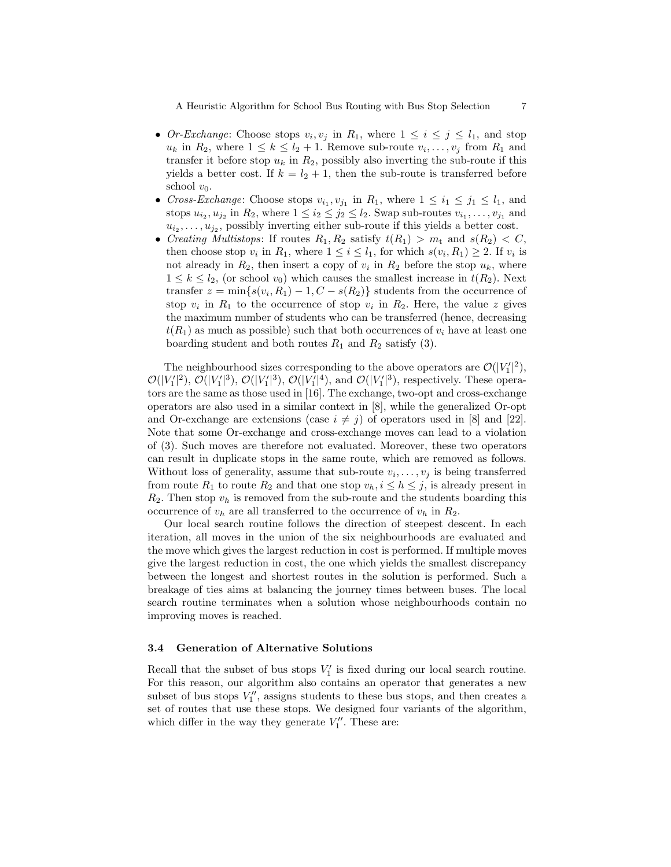A Heuristic Algorithm for School Bus Routing with Bus Stop Selection 7

- Or-Exchange: Choose stops  $v_i, v_j$  in  $R_1$ , where  $1 \leq i \leq j \leq l_1$ , and stop  $u_k$  in  $R_2$ , where  $1 \leq k \leq l_2+1$ . Remove sub-route  $v_i, \ldots, v_j$  from  $R_1$  and transfer it before stop  $u_k$  in  $R_2$ , possibly also inverting the sub-route if this yields a better cost. If  $k = l_2 + 1$ , then the sub-route is transferred before school  $v_0$ .
- Cross-Exchange: Choose stops  $v_{i_1}, v_{j_1}$  in  $R_1$ , where  $1 \leq i_1 \leq j_1 \leq l_1$ , and stops  $u_{i_2}, u_{j_2}$  in  $R_2$ , where  $1 \leq i_2 \leq j_2 \leq l_2$ . Swap sub-routes  $v_{i_1}, \ldots, v_{j_1}$  and  $u_{i_2}, \ldots, u_{j_2}$ , possibly inverting either sub-route if this yields a better cost.
- Creating Multistops: If routes  $R_1, R_2$  satisfy  $t(R_1) > m_t$  and  $s(R_2) < C$ , then choose stop  $v_i$  in  $R_1$ , where  $1 \leq i \leq l_1$ , for which  $s(v_i, R_1) \geq 2$ . If  $v_i$  is not already in  $R_2$ , then insert a copy of  $v_i$  in  $R_2$  before the stop  $u_k$ , where  $1 \leq k \leq l_2$ , (or school  $v_0$ ) which causes the smallest increase in  $t(R_2)$ . Next transfer  $z = \min\{s(v_i, R_1) - 1, C - s(R_2)\}\$  students from the occurrence of stop  $v_i$  in  $R_1$  to the occurrence of stop  $v_i$  in  $R_2$ . Here, the value z gives the maximum number of students who can be transferred (hence, decreasing  $t(R_1)$  as much as possible) such that both occurrences of  $v_i$  have at least one boarding student and both routes  $R_1$  and  $R_2$  satisfy (3).

The neighbourhood sizes corresponding to the above operators are  $\mathcal{O}(|V_1'|^2)$ ,  $\mathcal{O}(|V_1'|^2)$ ,  $\mathcal{O}(|V_1'|^3)$ ,  $\mathcal{O}(|V_1'|^4)$ , and  $\mathcal{O}(|V_1'|^3)$ , respectively. These operators are the same as those used in [16]. The exchange, two-opt and cross-exchange operators are also used in a similar context in [8], while the generalized Or-opt and Or-exchange are extensions (case  $i \neq j$ ) of operators used in [8] and [22]. Note that some Or-exchange and cross-exchange moves can lead to a violation of (3). Such moves are therefore not evaluated. Moreover, these two operators can result in duplicate stops in the same route, which are removed as follows. Without loss of generality, assume that sub-route  $v_i, \ldots, v_j$  is being transferred from route  $R_1$  to route  $R_2$  and that one stop  $v_h$ ,  $i \leq h \leq j$ , is already present in  $R_2$ . Then stop  $v_h$  is removed from the sub-route and the students boarding this occurrence of  $v_h$  are all transferred to the occurrence of  $v_h$  in  $R_2$ .

Our local search routine follows the direction of steepest descent. In each iteration, all moves in the union of the six neighbourhoods are evaluated and the move which gives the largest reduction in cost is performed. If multiple moves give the largest reduction in cost, the one which yields the smallest discrepancy between the longest and shortest routes in the solution is performed. Such a breakage of ties aims at balancing the journey times between buses. The local search routine terminates when a solution whose neighbourhoods contain no improving moves is reached.

#### 3.4 Generation of Alternative Solutions

Recall that the subset of bus stops  $V'_1$  is fixed during our local search routine. For this reason, our algorithm also contains an operator that generates a new subset of bus stops  $V''_1$ , assigns students to these bus stops, and then creates a set of routes that use these stops. We designed four variants of the algorithm, which differ in the way they generate  $V''_1$ . These are: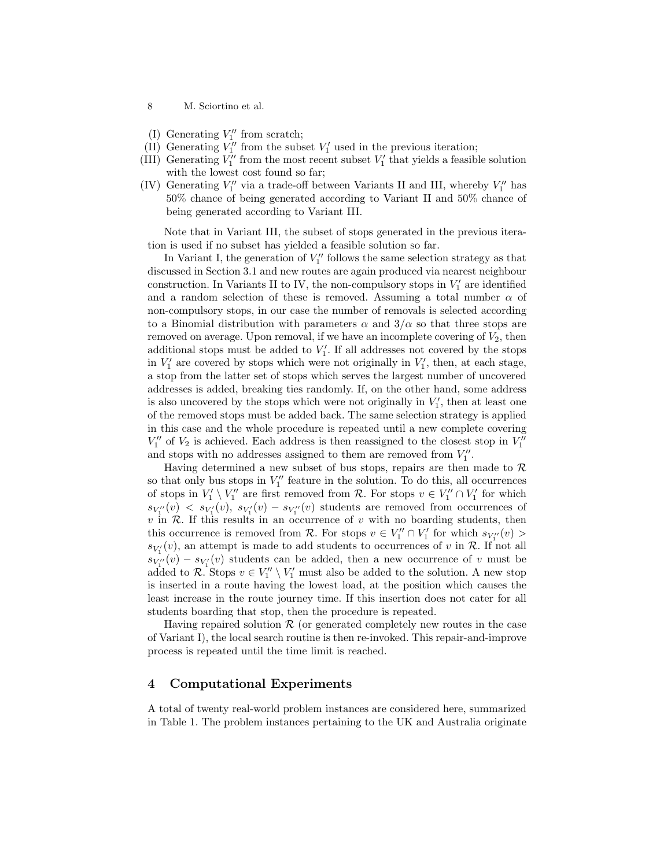- 8 M. Sciortino et al.
- (I) Generating  $V_1^{\prime\prime}$  from scratch;
- (II) Generating  $V''_1$  from the subset  $V'_1$  used in the previous iteration;
- (III) Generating  $V''_1$  from the most recent subset  $V'_1$  that yields a feasible solution with the lowest cost found so far;
- (IV) Generating  $V''_1$  via a trade-off between Variants II and III, whereby  $V''_1$  has 50% chance of being generated according to Variant II and 50% chance of being generated according to Variant III.

Note that in Variant III, the subset of stops generated in the previous iteration is used if no subset has yielded a feasible solution so far.

In Variant I, the generation of  $V''_1$  follows the same selection strategy as that discussed in Section 3.1 and new routes are again produced via nearest neighbour construction. In Variants II to IV, the non-compulsory stops in  $V'_1$  are identified and a random selection of these is removed. Assuming a total number  $\alpha$  of non-compulsory stops, in our case the number of removals is selected according to a Binomial distribution with parameters  $\alpha$  and  $3/\alpha$  so that three stops are removed on average. Upon removal, if we have an incomplete covering of  $V_2$ , then additional stops must be added to  $V'_1$ . If all addresses not covered by the stops in  $V'_1$  are covered by stops which were not originally in  $V'_1$ , then, at each stage, a stop from the latter set of stops which serves the largest number of uncovered addresses is added, breaking ties randomly. If, on the other hand, some address is also uncovered by the stops which were not originally in  $V'_1$ , then at least one of the removed stops must be added back. The same selection strategy is applied in this case and the whole procedure is repeated until a new complete covering  $V_1^{\prime\prime}$  of  $V_2$  is achieved. Each address is then reassigned to the closest stop in  $V_1^{\prime\prime}$ and stops with no addresses assigned to them are removed from  $V''_1$ .

Having determined a new subset of bus stops, repairs are then made to  $\mathcal R$ so that only bus stops in  $V''_1$  feature in the solution. To do this, all occurrences of stops in  $V_1' \setminus V_1''$  are first removed from R. For stops  $v \in V_1'' \cap V_1'$  for which  $s_{V_1'}(v) \leq s_{V_1'}(v)$ ,  $s_{V_1'}(v) - s_{V_1''}(v)$  students are removed from occurrences of  $v$  in  $R$ . If this results in an occurrence of  $v$  with no boarding students, then this occurrence is removed from  $\mathcal{R}$ . For stops  $v \in V''_1 \cap V'_1$  for which  $s_{V''_1}(v)$  $s_{V_1'}(v)$ , an attempt is made to add students to occurrences of v in  $\mathcal{R}$ . If not all  $s_{V_1''}(v) - s_{V_1'}(v)$  students can be added, then a new occurrence of v must be added to R. Stops  $v \in V_1'' \setminus V_1'$  must also be added to the solution. A new stop is inserted in a route having the lowest load, at the position which causes the least increase in the route journey time. If this insertion does not cater for all students boarding that stop, then the procedure is repeated.

Having repaired solution  $R$  (or generated completely new routes in the case of Variant I), the local search routine is then re-invoked. This repair-and-improve process is repeated until the time limit is reached.

### 4 Computational Experiments

A total of twenty real-world problem instances are considered here, summarized in Table 1. The problem instances pertaining to the UK and Australia originate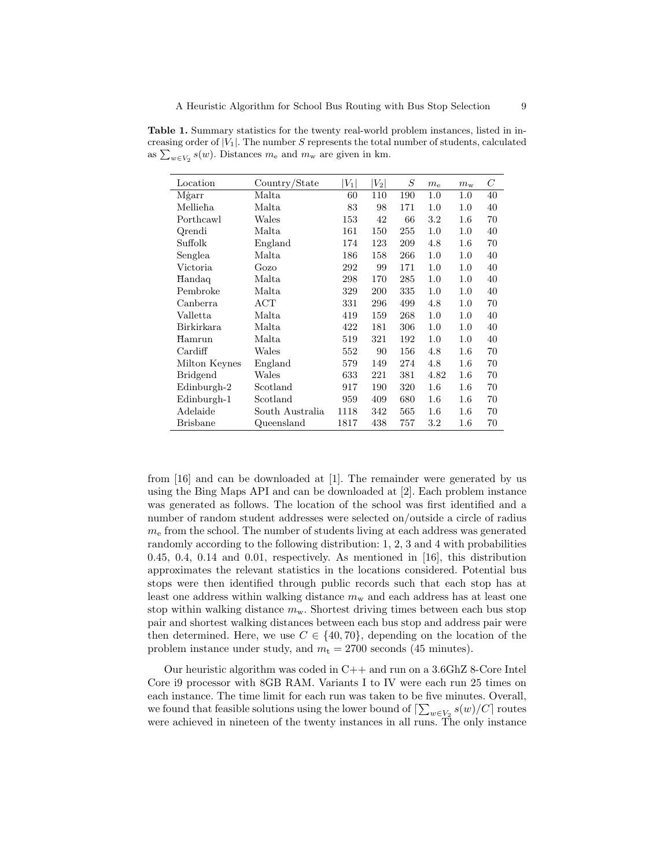Table 1. Summary statistics for the twenty real-world problem instances, listed in increasing order of  $|V_1|$ . The number S represents the total number of students, calculated as  $\sum_{w\in V_2} s(w)$ . Distances  $m_e$  and  $m_w$  are given in km.

| Location        | Country/State   | $V_1$ | $\left\vert V_{2}\right\vert$ | S   | $m_{\rm e}$ | $m_{\rm w}$ | C  |
|-----------------|-----------------|-------|-------------------------------|-----|-------------|-------------|----|
| Mġarr           | Malta           | 60    | 110                           | 190 | 1.0         | 1.0         | 40 |
| Mellieħa        | Malta           | 83    | 98                            | 171 | 1.0         | 1.0         | 40 |
| Porthcawl       | Wales           | 153   | 42                            | 66  | $3.2\,$     | $1.6\,$     | 70 |
| Qrendi          | Malta           | 161   | 150                           | 255 | 1.0         | 1.0         | 40 |
| Suffolk         | England         | 174   | 123                           | 209 | 4.8         | $1.6\,$     | 70 |
| Senglea         | Malta           | 186   | 158                           | 266 | 1.0         | $1.0\,$     | 40 |
| Victoria        | Gozo            | 292   | 99                            | 171 | $1.0\,$     | 1.0         | 40 |
| Handaq          | Malta           | 298   | 170                           | 285 | 1.0         | 1.0         | 40 |
| Pembroke        | Malta           | 329   | 200                           | 335 | $1.0\,$     | 1.0         | 40 |
| Canberra        | ACT             | 331   | 296                           | 499 | 4.8         | $1.0\,$     | 70 |
| Valletta        | Malta           | 419   | 159                           | 268 | $1.0\,$     | $1.0\,$     | 40 |
| Birkirkara      | Malta           | 422   | 181                           | 306 | $1.0\,$     | 1.0         | 40 |
| Hamrun          | Malta           | 519   | 321                           | 192 | 1.0         | $1.0\,$     | 40 |
| Cardiff         | Wales           | 552   | 90                            | 156 | 4.8         | $1.6\,$     | 70 |
| Milton Keynes   | England         | 579   | 149                           | 274 | 4.8         | $1.6\,$     | 70 |
| <b>Bridgend</b> | Wales           | 633   | 221                           | 381 | 4.82        | $1.6\,$     | 70 |
| Edinburgh-2     | Scotland        | 917   | 190                           | 320 | $1.6\,$     | $1.6\,$     | 70 |
| Edinburgh-1     | Scotland        | 959   | 409                           | 680 | $1.6\,$     | $1.6\,$     | 70 |
| Adelaide        | South Australia | 1118  | 342                           | 565 | 1.6         | $1.6\,$     | 70 |
| <b>Brisbane</b> | Queensland      | 1817  | 438                           | 757 | $3.2\,$     | $1.6\,$     | 70 |

from [16] and can be downloaded at [1]. The remainder were generated by us using the Bing Maps API and can be downloaded at [2]. Each problem instance was generated as follows. The location of the school was first identified and a number of random student addresses were selected on/outside a circle of radius  $m<sub>e</sub>$  from the school. The number of students living at each address was generated randomly according to the following distribution: 1, 2, 3 and 4 with probabilities 0.45, 0.4, 0.14 and 0.01, respectively. As mentioned in [16], this distribution approximates the relevant statistics in the locations considered. Potential bus stops were then identified through public records such that each stop has at least one address within walking distance  $m<sub>w</sub>$  and each address has at least one stop within walking distance  $m_{\rm w}$ . Shortest driving times between each bus stop pair and shortest walking distances between each bus stop and address pair were then determined. Here, we use  $C \in \{40, 70\}$ , depending on the location of the problem instance under study, and  $m_t = 2700$  seconds (45 minutes).

Our heuristic algorithm was coded in C++ and run on a 3.6GhZ 8-Core Intel Core i9 processor with 8GB RAM. Variants I to IV were each run 25 times on each instance. The time limit for each run was taken to be five minutes. Overall, we found that feasible solutions using the lower bound of  $\left\lceil \sum_{w\in V_2} s(w)/C \right\rceil$  routes were achieved in nineteen of the twenty instances in all runs. The only instance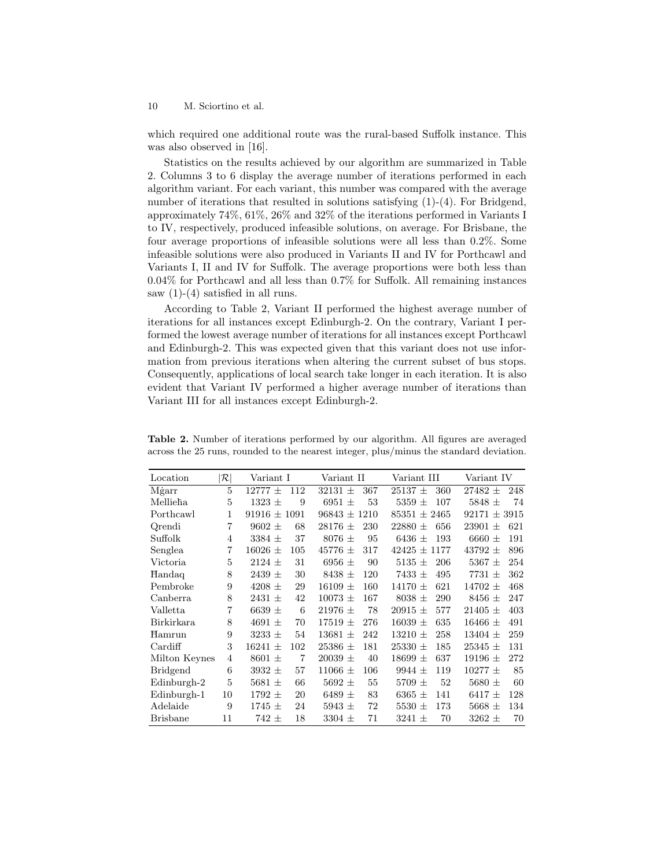which required one additional route was the rural-based Suffolk instance. This was also observed in [16].

Statistics on the results achieved by our algorithm are summarized in Table 2. Columns 3 to 6 display the average number of iterations performed in each algorithm variant. For each variant, this number was compared with the average number of iterations that resulted in solutions satisfying  $(1)-(4)$ . For Bridgend, approximately 74%, 61%, 26% and 32% of the iterations performed in Variants I to IV, respectively, produced infeasible solutions, on average. For Brisbane, the four average proportions of infeasible solutions were all less than 0.2%. Some infeasible solutions were also produced in Variants II and IV for Porthcawl and Variants I, II and IV for Suffolk. The average proportions were both less than 0.04% for Porthcawl and all less than 0.7% for Suffolk. All remaining instances saw  $(1)-(4)$  satisfied in all runs.

According to Table 2, Variant II performed the highest average number of iterations for all instances except Edinburgh-2. On the contrary, Variant I performed the lowest average number of iterations for all instances except Porthcawl and Edinburgh-2. This was expected given that this variant does not use information from previous iterations when altering the current subset of bus stops. Consequently, applications of local search take longer in each iteration. It is also evident that Variant IV performed a higher average number of iterations than Variant III for all instances except Edinburgh-2.

| Location        | $ \mathcal{R} $ | Variant I                    | Variant II         | Variant III         | Variant IV         |
|-----------------|-----------------|------------------------------|--------------------|---------------------|--------------------|
| Mgarr           | 5               | $12777 \pm$<br>112           | $32131 \pm$<br>367 | $25137 \pm$<br>360  | $27482 \pm$<br>248 |
| Mellieha        | 5               | $1323 \pm$<br>9              | 6951 $\pm$<br>53   | 5359 $\pm$<br>107   | $5848 \pm$<br>74   |
| Porthcawl       | 1               | $91916 \pm 1091$             | $96843 \pm 1210$   | $85351 \pm 2465$    | $92171 \pm 3915$   |
| Qrendi          | $\overline{7}$  | $9602 \pm$<br>68             | $28176 \pm$<br>230 | $22880 \pm$<br>656  | $23901 \pm$<br>621 |
| Suffolk         | $\overline{4}$  | 37<br>$3384 \pm$             | $8076 \pm$<br>95   | 6436 $\pm$<br>193   | 6660 $\pm$<br>191  |
| Senglea         | 7               | $16026 \pm$<br>105           | $45776 \pm$<br>317 | $42425 \pm 1177$    | $43792 \pm$<br>896 |
| Victoria        | 5               | $2124 \pm$<br>31             | 6956 $\pm$<br>90   | $5135 \pm$<br>206   | 254<br>5367 $\pm$  |
| Handaq          | 8               | $2439 \pm$<br>30             | $8438 \pm$<br>120  | $7433 \pm$<br>495   | $7731 \pm$<br>362  |
| Pembroke        | 9               | 29<br>$4208 \pm$             | 160<br>$16109 \pm$ | 621<br>$14170 \pm$  | $14702 \pm$<br>468 |
| Canberra        | 8               | $2431 \pm$<br>42             | $10073 \pm$<br>167 | 290<br>$8038 \pm$   | 8456 $\pm$<br>247  |
| Valletta        | 7               | 6639 $\pm$<br>6              | 78<br>$21976 \pm$  | 577<br>$20915 \pm$  | $21405 \pm$<br>403 |
| Birkirkara      | 8               | 4691 $\pm$<br>70             | 276<br>$17519 \pm$ | 635<br>$16039 \pm$  | 491<br>$16466 \pm$ |
| Hamrun          | 9               | $3233 \pm$<br>54             | $13681 \pm$<br>242 | 258<br>$13210 \pm$  | $13404 \pm$<br>259 |
| Cardiff         | 3               | $16241 \pm$<br>102           | $25386 \pm$<br>181 | 185<br>$25330 \pm$  | $25345 \pm$<br>131 |
| Milton Keynes   | $\overline{4}$  | $8601 \pm$<br>$\overline{7}$ | $20039 \pm$<br>40  | 637<br>$18699 \pm$  | 272<br>19196 $\pm$ |
| <b>Bridgend</b> | 6               | $3932 \pm$<br>57             | 106<br>$11066 \pm$ | 119<br>$9944 \pm$   | $10277 \pm$<br>85  |
| $Edinburgh-2$   | 5               | 66<br>5681 $\pm$             | 55<br>$5692 \pm$   | 5709 $\pm$<br>52    | 5680 $\pm$<br>60   |
| Edinburgh-1     | 10              | $1792 \pm$<br>20             | 6489 $\pm$<br>83   | 6365 $\pm$<br>141   | 6417 $\pm$<br>128  |
| Adelaide        | 9               | $1745 \pm$<br>24             | 72<br>5943 $\pm$   | $5530$ $\pm$<br>173 | 5668 $\pm$<br>134  |
| <b>Brisbane</b> | 11              | $742 \pm$<br>18              | 71<br>$3304 \pm$   | $3241 \pm$<br>70    | $3262 \pm$<br>70   |

Table 2. Number of iterations performed by our algorithm. All figures are averaged across the 25 runs, rounded to the nearest integer, plus/minus the standard deviation.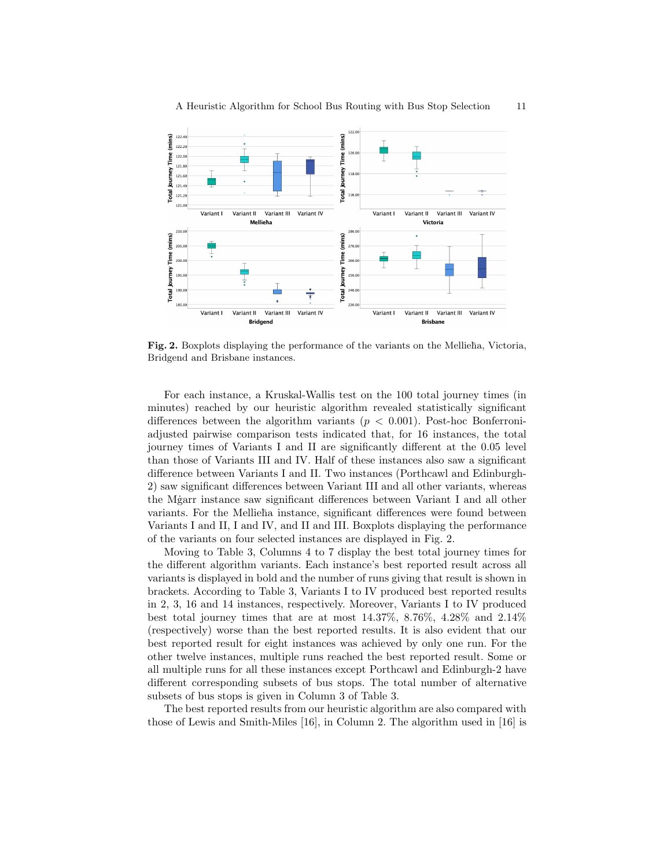

Fig. 2. Boxplots displaying the performance of the variants on the Mellieha, Victoria, Bridgend and Brisbane instances.

For each instance, a Kruskal-Wallis test on the 100 total journey times (in minutes) reached by our heuristic algorithm revealed statistically significant differences between the algorithm variants ( $p < 0.001$ ). Post-hoc Bonferroniadjusted pairwise comparison tests indicated that, for 16 instances, the total journey times of Variants I and II are significantly different at the 0.05 level than those of Variants III and IV. Half of these instances also saw a significant difference between Variants I and II. Two instances (Porthcawl and Edinburgh-2) saw significant differences between Variant III and all other variants, whereas the Mgarr instance saw significant differences between Variant I and all other variants. For the Mellieha instance, significant differences were found between Variants I and II, I and IV, and II and III. Boxplots displaying the performance of the variants on four selected instances are displayed in Fig. 2.

Moving to Table 3, Columns 4 to 7 display the best total journey times for the different algorithm variants. Each instance's best reported result across all variants is displayed in bold and the number of runs giving that result is shown in brackets. According to Table 3, Variants I to IV produced best reported results in 2, 3, 16 and 14 instances, respectively. Moreover, Variants I to IV produced best total journey times that are at most 14.37%, 8.76%, 4.28% and 2.14% (respectively) worse than the best reported results. It is also evident that our best reported result for eight instances was achieved by only one run. For the other twelve instances, multiple runs reached the best reported result. Some or all multiple runs for all these instances except Porthcawl and Edinburgh-2 have different corresponding subsets of bus stops. The total number of alternative subsets of bus stops is given in Column 3 of Table 3.

The best reported results from our heuristic algorithm are also compared with those of Lewis and Smith-Miles [16], in Column 2. The algorithm used in [16] is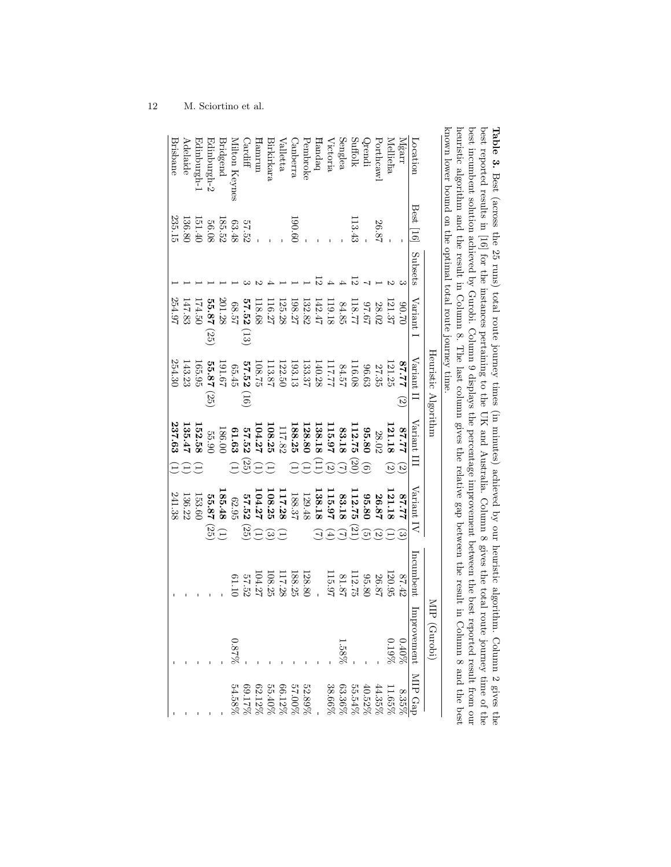| snown lower bound on the optimal total route journey time<br>Mġarr<br>Location<br>Mellieha<br>-orthcawl | Best 16<br>26.87 | Subsets | Variant<br>121.37<br>28.02<br>02.06 | Heuristic Algorithm<br>Variant<br>77.78<br>121.25<br>27.35<br>$\widetilde{\omega}$ | Variant<br>21.18<br>77.78<br>$\widehat{\omega}$<br>তি            | Variant IV<br>77.78<br>26.87<br>ದ<br>$\sim$ | Incumbent<br>120.95<br>26.87<br>87.42 | Improvement MIP Gaj<br>(Gurobi)<br>$\begin{array}{c} 0.40\% \\ 0.19\% \end{array}$ | 8.35 <sup>6</sup>                                                                                                                                                                                                                                              |
|---------------------------------------------------------------------------------------------------------|------------------|---------|-------------------------------------|------------------------------------------------------------------------------------|------------------------------------------------------------------|---------------------------------------------|---------------------------------------|------------------------------------------------------------------------------------|----------------------------------------------------------------------------------------------------------------------------------------------------------------------------------------------------------------------------------------------------------------|
| Suffolk<br>stendi                                                                                       | 113.43           |         | 118.77<br>19:26                     | 116.08<br>96.63                                                                    | 112.75<br>95.80<br>(20)<br>ಾ                                     | 112.75<br>95.80<br>(21)<br>ল                | 112.75<br>95.80                       |                                                                                    | $\begin{array}{c} 11.65\%\\ 44.35\%\\ 35.36\%\\ 36.36\%\\ 37.37\%\\ 38.66\%\\ 39.11\%\\ 30.11\%\\ 30.11\%\\ 34.58\%\\ 35.53\%\\ 36.11\%\\ 37.58\%\\ 38.54\%\\ 39.58\%\\ 34.58\%\\ 35.58\%\\ 36.54.58\%\\ 37.58\%\\ 38.58\%\\ 39.58\%\\ 39.58\%\\ 39.58\%\\ 30$ |
| Senglea<br>/ictoria                                                                                     |                  |         | 119.18<br>84.85                     | 17.711<br>84.57                                                                    | 115.97<br>83.18<br>$\widehat{\omega}$<br>$\widehat{\mathcal{L}}$ | 115.97<br>83.18<br>নি<br>$\widehat{A}$      | 115.97<br>81.87                       | $1.58\%$                                                                           |                                                                                                                                                                                                                                                                |
| Fandaq                                                                                                  |                  |         | 142.47                              | 140.28                                                                             | 138.18<br>$\Xi$                                                  | 138.18                                      |                                       |                                                                                    |                                                                                                                                                                                                                                                                |
| Pembroke                                                                                                |                  |         | 132.82                              | 133.37                                                                             | 128.80<br>$\widehat{\Xi}$                                        | 129.48                                      | 128.80                                |                                                                                    |                                                                                                                                                                                                                                                                |
| Janberra                                                                                                | 190.61           |         | 198.27                              | 193.13                                                                             | 188.25<br>$\widehat{\Xi}$                                        | 188.37                                      | 188.25                                |                                                                                    |                                                                                                                                                                                                                                                                |
| Valletta                                                                                                |                  |         | 125.28                              | 122.50                                                                             | 117.82                                                           | 17.28                                       | 117.28                                |                                                                                    |                                                                                                                                                                                                                                                                |
| 3irkirkara                                                                                              |                  |         | 116.27                              | 113.87                                                                             | 108.25                                                           | 108.25<br>బ                                 | 108.25                                |                                                                                    |                                                                                                                                                                                                                                                                |
| unuure                                                                                                  |                  |         | 18.68                               | 108.75                                                                             | 104.27                                                           | 104.27                                      | 124.27                                |                                                                                    |                                                                                                                                                                                                                                                                |
| Pardiff                                                                                                 | 57.52            |         | 57.52<br>$\left( 13\right)$         | 57.52<br>(10)                                                                      | 57.52<br>(25)                                                    | 57.52<br>(25)                               | 57.52                                 |                                                                                    |                                                                                                                                                                                                                                                                |
| dilton Keynes                                                                                           | $63.48\,$        |         | 75.80                               | 65.45                                                                              | 61.63                                                            | 62.95                                       |                                       | $0.87\%$                                                                           |                                                                                                                                                                                                                                                                |
| <b>Bridgend</b>                                                                                         | 185.52           |         | 201.28                              | 191.67                                                                             | 186.00                                                           | 185.48<br>$\widehat{\Xi}$                   |                                       |                                                                                    |                                                                                                                                                                                                                                                                |
| dinburgh-2                                                                                              | 56.08            |         | 55.87 (25)                          | 55.87<br>(55)                                                                      | 55.90                                                            | 55.87<br>(25)                               |                                       |                                                                                    |                                                                                                                                                                                                                                                                |
| I-nguuduibE                                                                                             | 151.40           |         | 174.50                              | 165.95                                                                             | 152.58<br>$\overline{\phantom{a}}$                               | 153.60                                      |                                       |                                                                                    |                                                                                                                                                                                                                                                                |
| Adelaide                                                                                                | 136.80           |         | 147.83                              | 143.23                                                                             | 135.47                                                           | 136.22                                      |                                       |                                                                                    |                                                                                                                                                                                                                                                                |
| Brisbane                                                                                                | 235.15           |         | 254.97                              | 254.30                                                                             | 237.63                                                           | 241.38                                      |                                       |                                                                                    |                                                                                                                                                                                                                                                                |

**Table 3.** Best (across the 25 runs) total route journey times (in minutes) achieved by our heuristic algorithm. Column 2 gives the best reported results in [16] for the instances pertaining to the UK and Australia. Colum known lower bound on the optimal total route journey time. heuristic algorithm and the result in Column 8. The last column gives the relative gap between the result in Column 8 and the best best incumbent solution achieved by Gurobi. Column 9 displays the percentage improvement between the best reported result from our best reported results in [16] for the instances pertaining to the UK and Australia. Column 8 gives the total route journey time of the Table 3. Best (across the 25 runs) total route journey times (in minutes) achieved by our heuristic algorithm. Column 2 gives the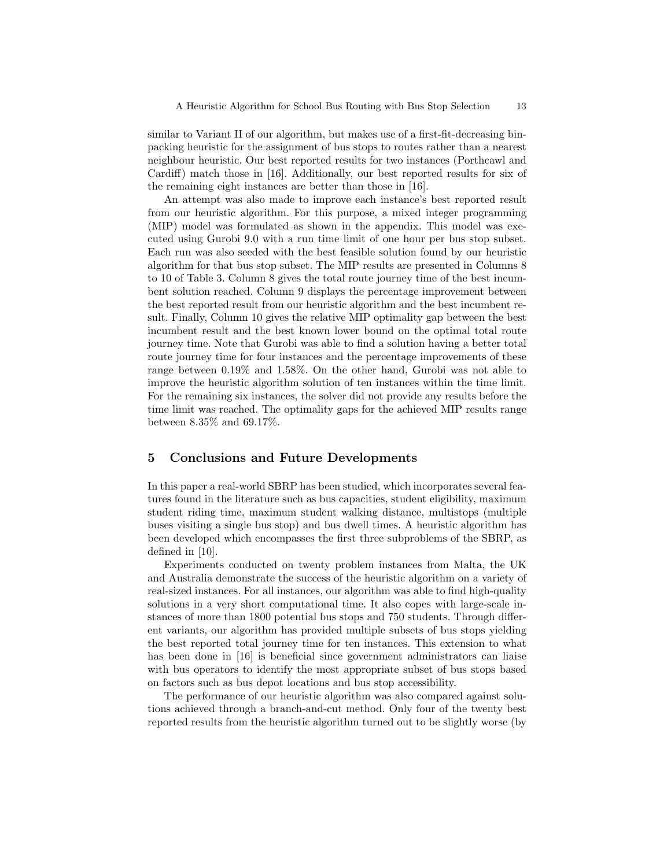similar to Variant II of our algorithm, but makes use of a first-fit-decreasing binpacking heuristic for the assignment of bus stops to routes rather than a nearest neighbour heuristic. Our best reported results for two instances (Porthcawl and Cardiff) match those in [16]. Additionally, our best reported results for six of the remaining eight instances are better than those in [16].

An attempt was also made to improve each instance's best reported result from our heuristic algorithm. For this purpose, a mixed integer programming (MIP) model was formulated as shown in the appendix. This model was executed using Gurobi 9.0 with a run time limit of one hour per bus stop subset. Each run was also seeded with the best feasible solution found by our heuristic algorithm for that bus stop subset. The MIP results are presented in Columns 8 to 10 of Table 3. Column 8 gives the total route journey time of the best incumbent solution reached. Column 9 displays the percentage improvement between the best reported result from our heuristic algorithm and the best incumbent result. Finally, Column 10 gives the relative MIP optimality gap between the best incumbent result and the best known lower bound on the optimal total route journey time. Note that Gurobi was able to find a solution having a better total route journey time for four instances and the percentage improvements of these range between 0.19% and 1.58%. On the other hand, Gurobi was not able to improve the heuristic algorithm solution of ten instances within the time limit. For the remaining six instances, the solver did not provide any results before the time limit was reached. The optimality gaps for the achieved MIP results range between 8.35% and 69.17%.

## 5 Conclusions and Future Developments

In this paper a real-world SBRP has been studied, which incorporates several features found in the literature such as bus capacities, student eligibility, maximum student riding time, maximum student walking distance, multistops (multiple buses visiting a single bus stop) and bus dwell times. A heuristic algorithm has been developed which encompasses the first three subproblems of the SBRP, as defined in [10].

Experiments conducted on twenty problem instances from Malta, the UK and Australia demonstrate the success of the heuristic algorithm on a variety of real-sized instances. For all instances, our algorithm was able to find high-quality solutions in a very short computational time. It also copes with large-scale instances of more than 1800 potential bus stops and 750 students. Through different variants, our algorithm has provided multiple subsets of bus stops yielding the best reported total journey time for ten instances. This extension to what has been done in [16] is beneficial since government administrators can liaise with bus operators to identify the most appropriate subset of bus stops based on factors such as bus depot locations and bus stop accessibility.

The performance of our heuristic algorithm was also compared against solutions achieved through a branch-and-cut method. Only four of the twenty best reported results from the heuristic algorithm turned out to be slightly worse (by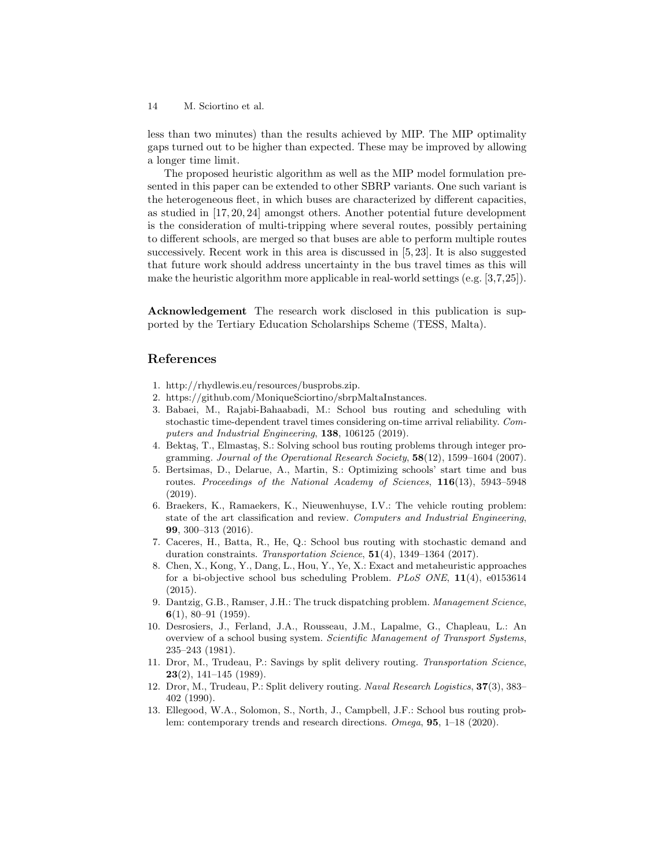less than two minutes) than the results achieved by MIP. The MIP optimality gaps turned out to be higher than expected. These may be improved by allowing a longer time limit.

The proposed heuristic algorithm as well as the MIP model formulation presented in this paper can be extended to other SBRP variants. One such variant is the heterogeneous fleet, in which buses are characterized by different capacities, as studied in [17, 20, 24] amongst others. Another potential future development is the consideration of multi-tripping where several routes, possibly pertaining to different schools, are merged so that buses are able to perform multiple routes successively. Recent work in this area is discussed in [5, 23]. It is also suggested that future work should address uncertainty in the bus travel times as this will make the heuristic algorithm more applicable in real-world settings (e.g. [3,7,25]).

Acknowledgement The research work disclosed in this publication is supported by the Tertiary Education Scholarships Scheme (TESS, Malta).

# References

- 1. http://rhydlewis.eu/resources/busprobs.zip.
- 2. https://github.com/MoniqueSciortino/sbrpMaltaInstances.
- 3. Babaei, M., Rajabi-Bahaabadi, M.: School bus routing and scheduling with stochastic time-dependent travel times considering on-time arrival reliability. Computers and Industrial Engineering, 138, 106125 (2019).
- 4. Bektaş, T., Elmastaş, S.: Solving school bus routing problems through integer programming. Journal of the Operational Research Society, 58(12), 1599–1604 (2007).
- 5. Bertsimas, D., Delarue, A., Martin, S.: Optimizing schools' start time and bus routes. Proceedings of the National Academy of Sciences, 116(13), 5943-5948 (2019).
- 6. Braekers, K., Ramaekers, K., Nieuwenhuyse, I.V.: The vehicle routing problem: state of the art classification and review. Computers and Industrial Engineering, 99, 300–313 (2016).
- 7. Caceres, H., Batta, R., He, Q.: School bus routing with stochastic demand and duration constraints. Transportation Science,  $51(4)$ , 1349–1364 (2017).
- 8. Chen, X., Kong, Y., Dang, L., Hou, Y., Ye, X.: Exact and metaheuristic approaches for a bi-objective school bus scheduling Problem. PLoS ONE, 11(4), e0153614 (2015).
- 9. Dantzig, G.B., Ramser, J.H.: The truck dispatching problem. Management Science, 6(1), 80–91 (1959).
- 10. Desrosiers, J., Ferland, J.A., Rousseau, J.M., Lapalme, G., Chapleau, L.: An overview of a school busing system. Scientific Management of Transport Systems, 235–243 (1981).
- 11. Dror, M., Trudeau, P.: Savings by split delivery routing. Transportation Science,  $23(2)$ , 141–145 (1989).
- 12. Dror, M., Trudeau, P.: Split delivery routing. Naval Research Logistics, 37(3), 383– 402 (1990).
- 13. Ellegood, W.A., Solomon, S., North, J., Campbell, J.F.: School bus routing problem: contemporary trends and research directions. Omega, 95, 1–18 (2020).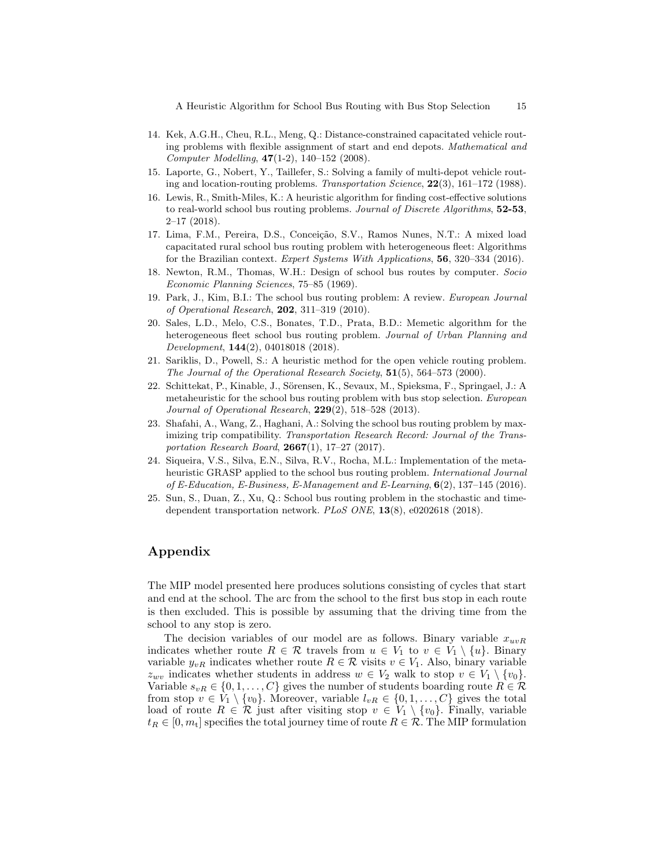A Heuristic Algorithm for School Bus Routing with Bus Stop Selection 15

- 14. Kek, A.G.H., Cheu, R.L., Meng, Q.: Distance-constrained capacitated vehicle routing problems with flexible assignment of start and end depots. Mathematical and Computer Modelling, 47(1-2), 140–152 (2008).
- 15. Laporte, G., Nobert, Y., Taillefer, S.: Solving a family of multi-depot vehicle routing and location-routing problems. Transportation Science, 22(3), 161–172 (1988).
- 16. Lewis, R., Smith-Miles, K.: A heuristic algorithm for finding cost-effective solutions to real-world school bus routing problems. Journal of Discrete Algorithms, 52-53,  $2-17$  (2018).
- 17. Lima, F.M., Pereira, D.S., Conceição, S.V., Ramos Nunes, N.T.: A mixed load capacitated rural school bus routing problem with heterogeneous fleet: Algorithms for the Brazilian context. Expert Systems With Applications, 56, 320–334 (2016).
- 18. Newton, R.M., Thomas, W.H.: Design of school bus routes by computer. Socio Economic Planning Sciences, 75–85 (1969).
- 19. Park, J., Kim, B.I.: The school bus routing problem: A review. European Journal of Operational Research, 202, 311–319 (2010).
- 20. Sales, L.D., Melo, C.S., Bonates, T.D., Prata, B.D.: Memetic algorithm for the heterogeneous fleet school bus routing problem. Journal of Urban Planning and Development, **144**(2), 04018018 (2018).
- 21. Sariklis, D., Powell, S.: A heuristic method for the open vehicle routing problem. The Journal of the Operational Research Society,  $51(5)$ ,  $564-573$  (2000).
- 22. Schittekat, P., Kinable, J., Sörensen, K., Sevaux, M., Spieksma, F., Springael, J.: A metaheuristic for the school bus routing problem with bus stop selection. European Journal of Operational Research, 229(2), 518–528 (2013).
- 23. Shafahi, A., Wang, Z., Haghani, A.: Solving the school bus routing problem by maximizing trip compatibility. Transportation Research Record: Journal of the Transportation Research Board, 2667(1), 17–27 (2017).
- 24. Siqueira, V.S., Silva, E.N., Silva, R.V., Rocha, M.L.: Implementation of the metaheuristic GRASP applied to the school bus routing problem. International Journal of E-Education, E-Business, E-Management and E-Learning,  $6(2)$ , 137–145 (2016).
- 25. Sun, S., Duan, Z., Xu, Q.: School bus routing problem in the stochastic and timedependent transportation network. PLoS ONE, 13(8), e0202618 (2018).

# Appendix

The MIP model presented here produces solutions consisting of cycles that start and end at the school. The arc from the school to the first bus stop in each route is then excluded. This is possible by assuming that the driving time from the school to any stop is zero.

The decision variables of our model are as follows. Binary variable  $x_{uvR}$ indicates whether route  $R \in \mathcal{R}$  travels from  $u \in V_1$  to  $v \in V_1 \setminus \{u\}$ . Binary variable  $y_{vR}$  indicates whether route  $R \in \mathcal{R}$  visits  $v \in V_1$ . Also, binary variable  $z_{wv}$  indicates whether students in address  $w \in V_2$  walk to stop  $v \in V_1 \setminus \{v_0\}.$ Variable  $s_{vR} \in \{0, 1, \ldots, C\}$  gives the number of students boarding route  $R \in \mathcal{R}$ from stop  $v \in V_1 \setminus \{v_0\}$ . Moreover, variable  $l_{vR} \in \{0, 1, \ldots, C\}$  gives the total load of route  $R \in \mathcal{R}$  just after visiting stop  $v \in V_1 \setminus \{v_0\}$ . Finally, variable  $t_R \in [0, m_t]$  specifies the total journey time of route  $R \in \mathcal{R}$ . The MIP formulation